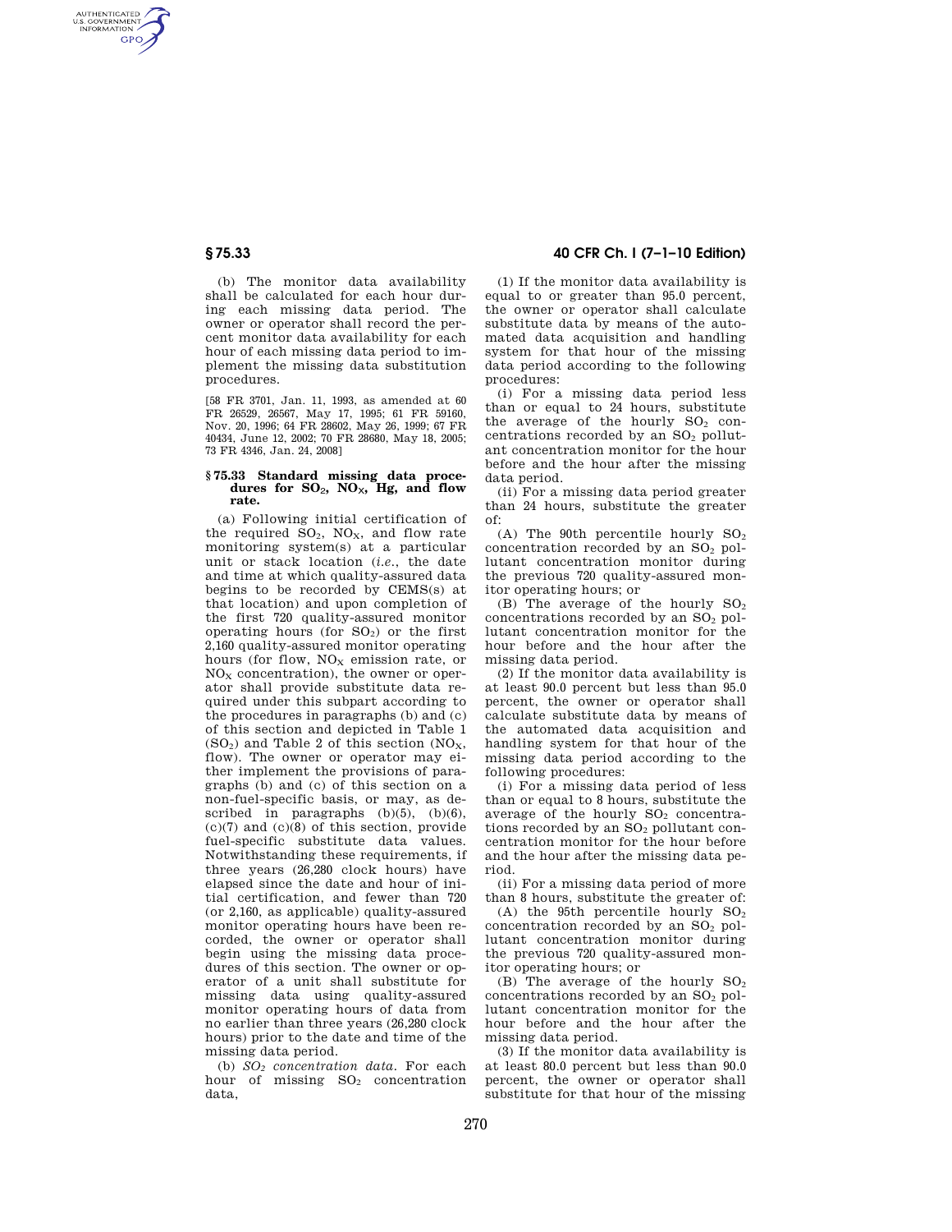AUTHENTICATED<br>U.S. GOVERNMENT<br>INFORMATION **GPO** 

> (b) The monitor data availability shall be calculated for each hour during each missing data period. The owner or operator shall record the percent monitor data availability for each hour of each missing data period to implement the missing data substitution procedures.

> [58 FR 3701, Jan. 11, 1993, as amended at 60 FR 26529, 26567, May 17, 1995; 61 FR 59160, Nov. 20, 1996; 64 FR 28602, May 26, 1999; 67 FR 40434, June 12, 2002; 70 FR 28680, May 18, 2005; 73 FR 4346, Jan. 24, 2008]

### **§ 75.33 Standard missing data procedures for SO**2**, NO**X**, Hg, and flow rate.**

(a) Following initial certification of the required  $SO_2$ ,  $NO_x$ , and flow rate monitoring system(s) at a particular unit or stack location (*i.e.*, the date and time at which quality-assured data begins to be recorded by CEMS(s) at that location) and upon completion of the first 720 quality-assured monitor operating hours (for  $SO<sub>2</sub>$ ) or the first 2,160 quality-assured monitor operating hours (for flow,  $NO<sub>x</sub>$  emission rate, or  $NO<sub>x</sub>$  concentration), the owner or operator shall provide substitute data required under this subpart according to the procedures in paragraphs (b) and (c) of this section and depicted in Table 1  $(SO<sub>2</sub>)$  and Table 2 of this section  $(NO<sub>X</sub>)$ , flow). The owner or operator may either implement the provisions of paragraphs (b) and (c) of this section on a non-fuel-specific basis, or may, as described in paragraphs  $(b)(5)$ ,  $(b)(6)$ , (c)(7) and (c)(8) of this section, provide fuel-specific substitute data values. Notwithstanding these requirements, if three years (26,280 clock hours) have elapsed since the date and hour of initial certification, and fewer than 720 (or 2,160, as applicable) quality-assured monitor operating hours have been recorded, the owner or operator shall begin using the missing data procedures of this section. The owner or operator of a unit shall substitute for missing data using quality-assured monitor operating hours of data from no earlier than three years (26,280 clock hours) prior to the date and time of the missing data period.

(b) *SO<sup>2</sup> concentration data.* For each hour of missing SO<sub>2</sub> concentration data,

## **§ 75.33 40 CFR Ch. I (7–1–10 Edition)**

(1) If the monitor data availability is equal to or greater than 95.0 percent, the owner or operator shall calculate substitute data by means of the automated data acquisition and handling system for that hour of the missing data period according to the following procedures:

(i) For a missing data period less than or equal to 24 hours, substitute the average of the hourly  $SO<sub>2</sub>$  concentrations recorded by an  $SO<sub>2</sub>$  pollutant concentration monitor for the hour before and the hour after the missing data period.

(ii) For a missing data period greater than 24 hours, substitute the greater of:

(A) The 90th percentile hourly  $SO<sub>2</sub>$ concentration recorded by an  $SO<sub>2</sub>$  pollutant concentration monitor during the previous 720 quality-assured monitor operating hours; or

(B) The average of the hourly  $SO<sub>2</sub>$ concentrations recorded by an SO<sub>2</sub> pollutant concentration monitor for the hour before and the hour after the missing data period.

(2) If the monitor data availability is at least 90.0 percent but less than 95.0 percent, the owner or operator shall calculate substitute data by means of the automated data acquisition and handling system for that hour of the missing data period according to the following procedures:

(i) For a missing data period of less than or equal to 8 hours, substitute the average of the hourly  $SO<sub>2</sub>$  concentrations recorded by an SO<sub>2</sub> pollutant concentration monitor for the hour before and the hour after the missing data period.

(ii) For a missing data period of more than 8 hours, substitute the greater of:

(A) the 95th percentile hourly  $SO<sub>2</sub>$ concentration recorded by an  $SO<sub>2</sub>$  pollutant concentration monitor during the previous 720 quality-assured monitor operating hours; or

(B) The average of the hourly  $SO<sub>2</sub>$ concentrations recorded by an SO<sub>2</sub> pollutant concentration monitor for the hour before and the hour after the missing data period.

(3) If the monitor data availability is at least 80.0 percent but less than 90.0 percent, the owner or operator shall substitute for that hour of the missing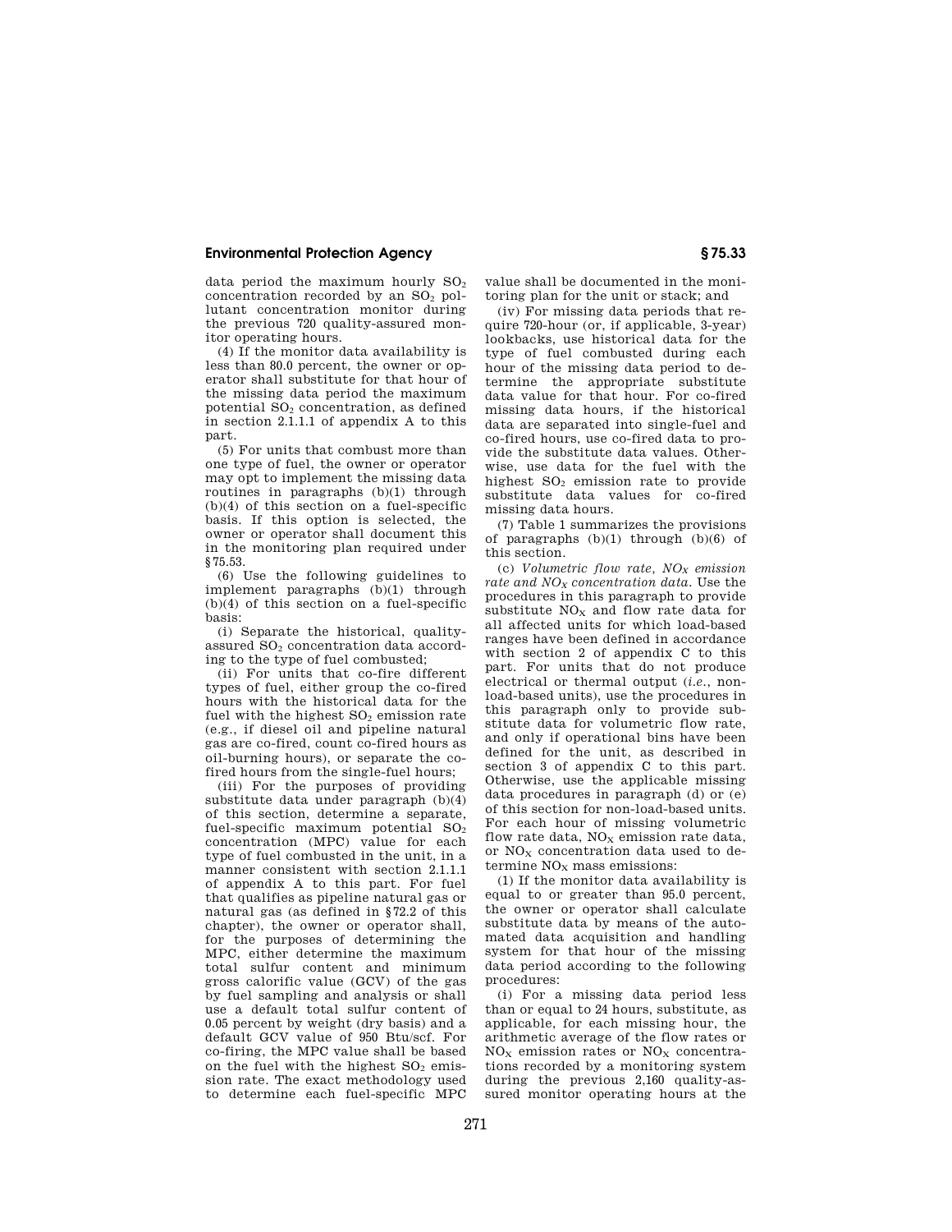data period the maximum hourly  $SO<sub>2</sub>$ concentration recorded by an  $SO<sub>2</sub>$  pollutant concentration monitor during the previous 720 quality-assured monitor operating hours.

(4) If the monitor data availability is less than 80.0 percent, the owner or operator shall substitute for that hour of the missing data period the maximum potential SO<sup>2</sup> concentration, as defined in section 2.1.1.1 of appendix A to this part.

(5) For units that combust more than one type of fuel, the owner or operator may opt to implement the missing data routines in paragraphs (b)(1) through (b)(4) of this section on a fuel-specific basis. If this option is selected, the owner or operator shall document this in the monitoring plan required under §75.53.

(6) Use the following guidelines to implement paragraphs  $(b)(1)$  through  $(b)(4)$  of this section on a fuel-specific basis:

(i) Separate the historical, qualityassured  $SO<sub>2</sub>$  concentration data according to the type of fuel combusted;

(ii) For units that co-fire different types of fuel, either group the co-fired hours with the historical data for the fuel with the highest  $SO<sub>2</sub>$  emission rate (e.g., if diesel oil and pipeline natural gas are co-fired, count co-fired hours as oil-burning hours), or separate the cofired hours from the single-fuel hours;

(iii) For the purposes of providing substitute data under paragraph (b)(4) of this section, determine a separate, fuel-specific maximum potential  $SO<sub>2</sub>$ concentration (MPC) value for each type of fuel combusted in the unit, in a manner consistent with section 2.1.1.1 of appendix A to this part. For fuel that qualifies as pipeline natural gas or natural gas (as defined in §72.2 of this chapter), the owner or operator shall, for the purposes of determining the MPC, either determine the maximum total sulfur content and minimum gross calorific value (GCV) of the gas by fuel sampling and analysis or shall use a default total sulfur content of 0.05 percent by weight (dry basis) and a default GCV value of 950 Btu/scf. For co-firing, the MPC value shall be based on the fuel with the highest  $SO<sub>2</sub>$  emission rate. The exact methodology used to determine each fuel-specific MPC

value shall be documented in the monitoring plan for the unit or stack; and

(iv) For missing data periods that require 720-hour (or, if applicable, 3-year) lookbacks, use historical data for the type of fuel combusted during each hour of the missing data period to determine the appropriate substitute data value for that hour. For co-fired missing data hours, if the historical data are separated into single-fuel and co-fired hours, use co-fired data to provide the substitute data values. Otherwise, use data for the fuel with the highest  $SO<sub>2</sub>$  emission rate to provide substitute data values for co-fired missing data hours.

(7) Table 1 summarizes the provisions of paragraphs (b)(1) through (b)(6) of this section.

(c) *Volumetric flow rate, NO<sup>X</sup> emission rate and NO<sup>X</sup> concentration data.* Use the procedures in this paragraph to provide substitute  $NO<sub>x</sub>$  and flow rate data for all affected units for which load-based ranges have been defined in accordance with section 2 of appendix C to this part. For units that do not produce electrical or thermal output (*i.e.*, nonload-based units), use the procedures in this paragraph only to provide substitute data for volumetric flow rate, and only if operational bins have been defined for the unit, as described in section 3 of appendix C to this part. Otherwise, use the applicable missing data procedures in paragraph (d) or (e) of this section for non-load-based units. For each hour of missing volumetric flow rate data,  $NO<sub>x</sub>$  emission rate data, or NO<sub>x</sub> concentration data used to determine  $NO<sub>x</sub>$  mass emissions:

(1) If the monitor data availability is equal to or greater than 95.0 percent, the owner or operator shall calculate substitute data by means of the automated data acquisition and handling system for that hour of the missing data period according to the following procedures:

(i) For a missing data period less than or equal to 24 hours, substitute, as applicable, for each missing hour, the arithmetic average of the flow rates or  $NO<sub>x</sub>$  emission rates or  $NO<sub>x</sub>$  concentrations recorded by a monitoring system during the previous 2,160 quality-assured monitor operating hours at the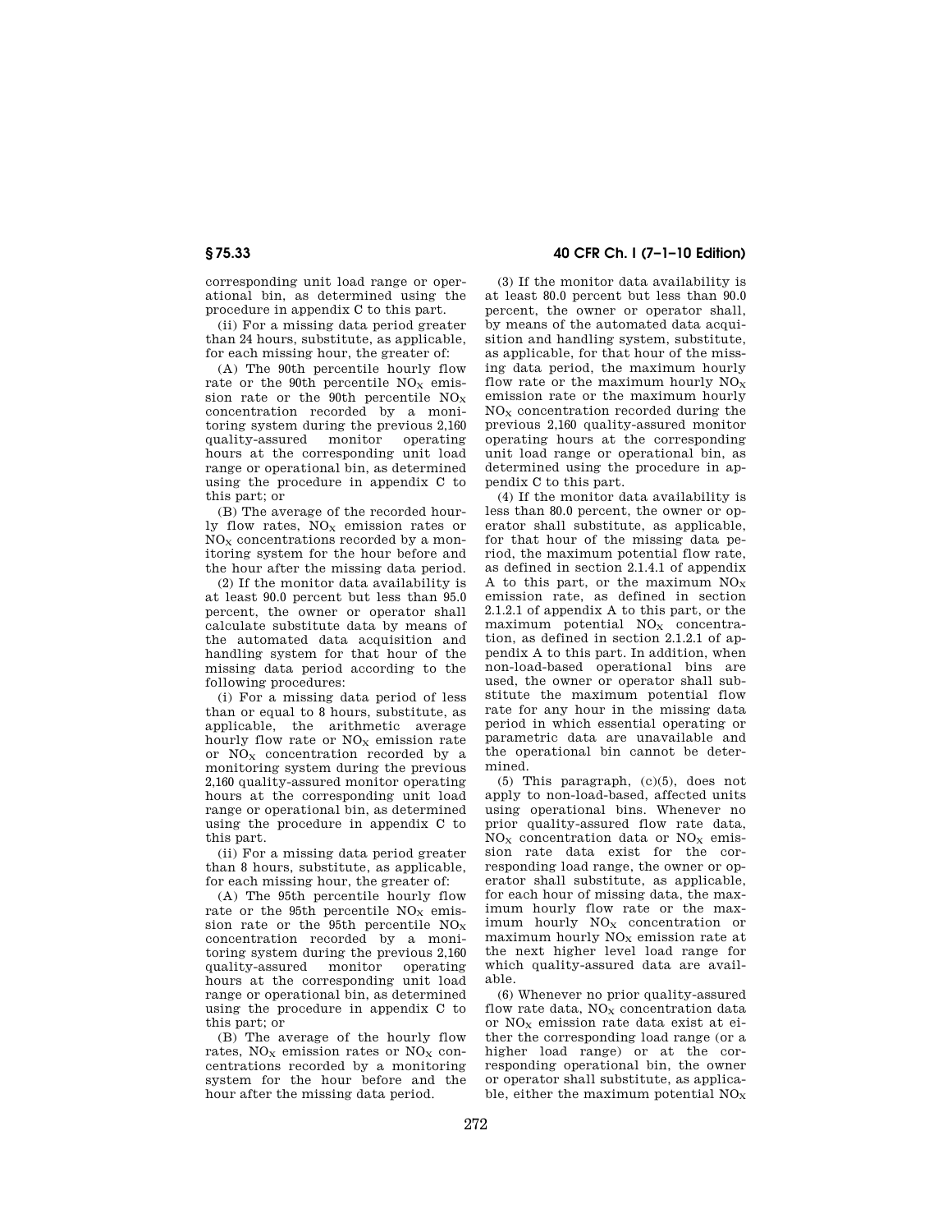corresponding unit load range or operational bin, as determined using the procedure in appendix C to this part.

(ii) For a missing data period greater than 24 hours, substitute, as applicable, for each missing hour, the greater of:

(A) The 90th percentile hourly flow rate or the 90th percentile  $NO<sub>x</sub>$  emission rate or the 90th percentile  $NO<sub>x</sub>$ concentration recorded by a monitoring system during the previous 2,160 quality-assured monitor operating hours at the corresponding unit load range or operational bin, as determined using the procedure in appendix C to this part; or

(B) The average of the recorded hourly flow rates,  $NO<sub>x</sub>$  emission rates or  $NO<sub>x</sub>$  concentrations recorded by a monitoring system for the hour before and the hour after the missing data period.

(2) If the monitor data availability is at least 90.0 percent but less than 95.0 percent, the owner or operator shall calculate substitute data by means of the automated data acquisition and handling system for that hour of the missing data period according to the following procedures:

(i) For a missing data period of less than or equal to 8 hours, substitute, as applicable, the arithmetic average hourly flow rate or  $NO<sub>x</sub>$  emission rate or  $NO<sub>x</sub>$  concentration recorded by a monitoring system during the previous 2,160 quality-assured monitor operating hours at the corresponding unit load range or operational bin, as determined using the procedure in appendix C to this part.

(ii) For a missing data period greater than 8 hours, substitute, as applicable, for each missing hour, the greater of:

(A) The 95th percentile hourly flow rate or the 95th percentile  $NO<sub>x</sub>$  emission rate or the 95th percentile  $NO<sub>x</sub>$ concentration recorded by a monitoring system during the previous 2,160 quality-assured monitor operating hours at the corresponding unit load range or operational bin, as determined using the procedure in appendix C to this part; or

(B) The average of the hourly flow rates,  $NO<sub>x</sub>$  emission rates or  $NO<sub>x</sub>$  concentrations recorded by a monitoring system for the hour before and the hour after the missing data period.

# **§ 75.33 40 CFR Ch. I (7–1–10 Edition)**

(3) If the monitor data availability is at least 80.0 percent but less than 90.0 percent, the owner or operator shall, by means of the automated data acquisition and handling system, substitute, as applicable, for that hour of the missing data period, the maximum hourly flow rate or the maximum hourly  $NO<sub>x</sub>$ emission rate or the maximum hourly  $NO<sub>X</sub>$  concentration recorded during the previous 2,160 quality-assured monitor operating hours at the corresponding unit load range or operational bin, as determined using the procedure in appendix C to this part.

(4) If the monitor data availability is less than 80.0 percent, the owner or operator shall substitute, as applicable, for that hour of the missing data period, the maximum potential flow rate, as defined in section 2.1.4.1 of appendix A to this part, or the maximum  $NO<sub>X</sub>$ emission rate, as defined in section 2.1.2.1 of appendix A to this part, or the maximum potential  $NO<sub>x</sub>$  concentration, as defined in section 2.1.2.1 of appendix A to this part. In addition, when non-load-based operational bins are used, the owner or operator shall substitute the maximum potential flow rate for any hour in the missing data period in which essential operating or parametric data are unavailable and the operational bin cannot be determined.

(5) This paragraph, (c)(5), does not apply to non-load-based, affected units using operational bins. Whenever no prior quality-assured flow rate data,  $NO<sub>X</sub>$  concentration data or  $NO<sub>X</sub>$  emission rate data exist for the corresponding load range, the owner or operator shall substitute, as applicable, for each hour of missing data, the maximum hourly flow rate or the maximum hourly  $NO<sub>x</sub>$  concentration or maximum hourly  $NO<sub>x</sub>$  emission rate at the next higher level load range for which quality-assured data are available.

(6) Whenever no prior quality-assured flow rate data,  $NO<sub>X</sub>$  concentration data or  $NO<sub>x</sub>$  emission rate data exist at either the corresponding load range (or a higher load range) or at the corresponding operational bin, the owner or operator shall substitute, as applicable, either the maximum potential  $NO<sub>x</sub>$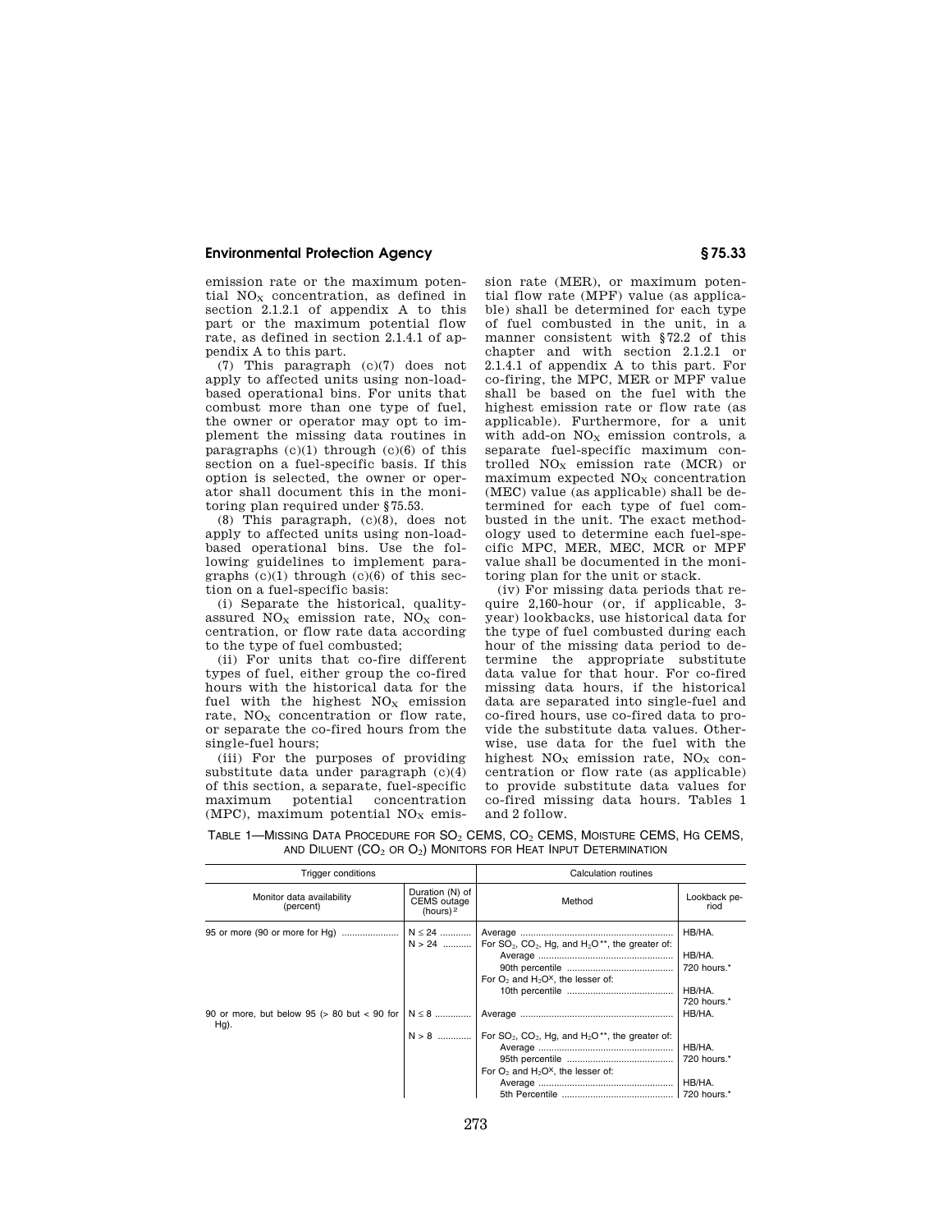emission rate or the maximum potential  $NO<sub>x</sub>$  concentration, as defined in section 2.1.2.1 of appendix A to this part or the maximum potential flow rate, as defined in section 2.1.4.1 of appendix A to this part.

(7) This paragraph (c)(7) does not apply to affected units using non-loadbased operational bins. For units that combust more than one type of fuel, the owner or operator may opt to implement the missing data routines in paragraphs  $(c)(1)$  through  $(c)(6)$  of this section on a fuel-specific basis. If this option is selected, the owner or operator shall document this in the monitoring plan required under §75.53.

(8) This paragraph, (c)(8), does not apply to affected units using non-loadbased operational bins. Use the following guidelines to implement paragraphs  $(c)(1)$  through  $(c)(6)$  of this section on a fuel-specific basis:

(i) Separate the historical, qualityassured  $NO<sub>X</sub>$  emission rate,  $NO<sub>X</sub>$  concentration, or flow rate data according to the type of fuel combusted;

(ii) For units that co-fire different types of fuel, either group the co-fired hours with the historical data for the fuel with the highest  $NO<sub>X</sub>$  emission rate,  $NO<sub>x</sub>$  concentration or flow rate. or separate the co-fired hours from the single-fuel hours;

(iii) For the purposes of providing substitute data under paragraph (c)(4) of this section, a separate, fuel-specific maximum potential concentration (MPC), maximum potential  $NO<sub>x</sub>$  emission rate (MER), or maximum potential flow rate (MPF) value (as applicable) shall be determined for each type of fuel combusted in the unit, in a manner consistent with §72.2 of this chapter and with section 2.1.2.1 or 2.1.4.1 of appendix A to this part. For co-firing, the MPC, MER or MPF value shall be based on the fuel with the highest emission rate or flow rate (as applicable). Furthermore, for a unit with add-on  $NO<sub>x</sub>$  emission controls, a separate fuel-specific maximum controlled  $NO<sub>X</sub>$  emission rate (MCR) or  $maximum$  expected  $NO<sub>x</sub>$  concentration (MEC) value (as applicable) shall be determined for each type of fuel combusted in the unit. The exact methodology used to determine each fuel-specific MPC, MER, MEC, MCR or MPF value shall be documented in the monitoring plan for the unit or stack.

(iv) For missing data periods that require 2,160-hour (or, if applicable, 3 year) lookbacks, use historical data for the type of fuel combusted during each hour of the missing data period to determine the appropriate substitute data value for that hour. For co-fired missing data hours, if the historical data are separated into single-fuel and co-fired hours, use co-fired data to provide the substitute data values. Otherwise, use data for the fuel with the highest  $NO<sub>X</sub>$  emission rate,  $NO<sub>X</sub>$  concentration or flow rate (as applicable) to provide substitute data values for co-fired missing data hours. Tables 1 and 2 follow.

| <b>Trigger conditions</b>                                   |                                               | Calculation routines                                                                                                                                        |                                                          |  |
|-------------------------------------------------------------|-----------------------------------------------|-------------------------------------------------------------------------------------------------------------------------------------------------------------|----------------------------------------------------------|--|
| Monitor data availability<br>(percent)                      | Duration (N) of<br>CEMS outage<br>(hours) $2$ | Method                                                                                                                                                      | Lookback pe-<br>riod                                     |  |
|                                                             | $N \le 24$                                    | $N > 24$ For SO <sub>2</sub> , CO <sub>2</sub> , Hg, and H <sub>2</sub> O <sup>**</sup> , the greater of:<br>For $O_2$ and $H_2O^{\times}$ , the lesser of: | HB/HA.<br>HB/HA.<br>720 hours.*<br>HB/HA.<br>720 hours.* |  |
| 90 or more, but below 95 ( $> 80$ but $< 90$ for<br>$Hg$ ). | $N \leq 8$<br>$N > 8$                         | For $SO_2$ , $CO_2$ , Hg, and H <sub>2</sub> O <sup>**</sup> , the greater of:<br>For $O_2$ and $H_2O^{\times}$ , the lesser of:                            | HB/HA.<br>HB/HA.<br>720 hours.*<br>HB/HA.                |  |

TABLE 1—MISSING DATA PROCEDURE FOR SO2 CEMS, CO2 CEMS, MOISTURE CEMS, HG CEMS, AND DILUENT  $(CO_2$  or  $O_2)$  Monitors for Heat Input Determination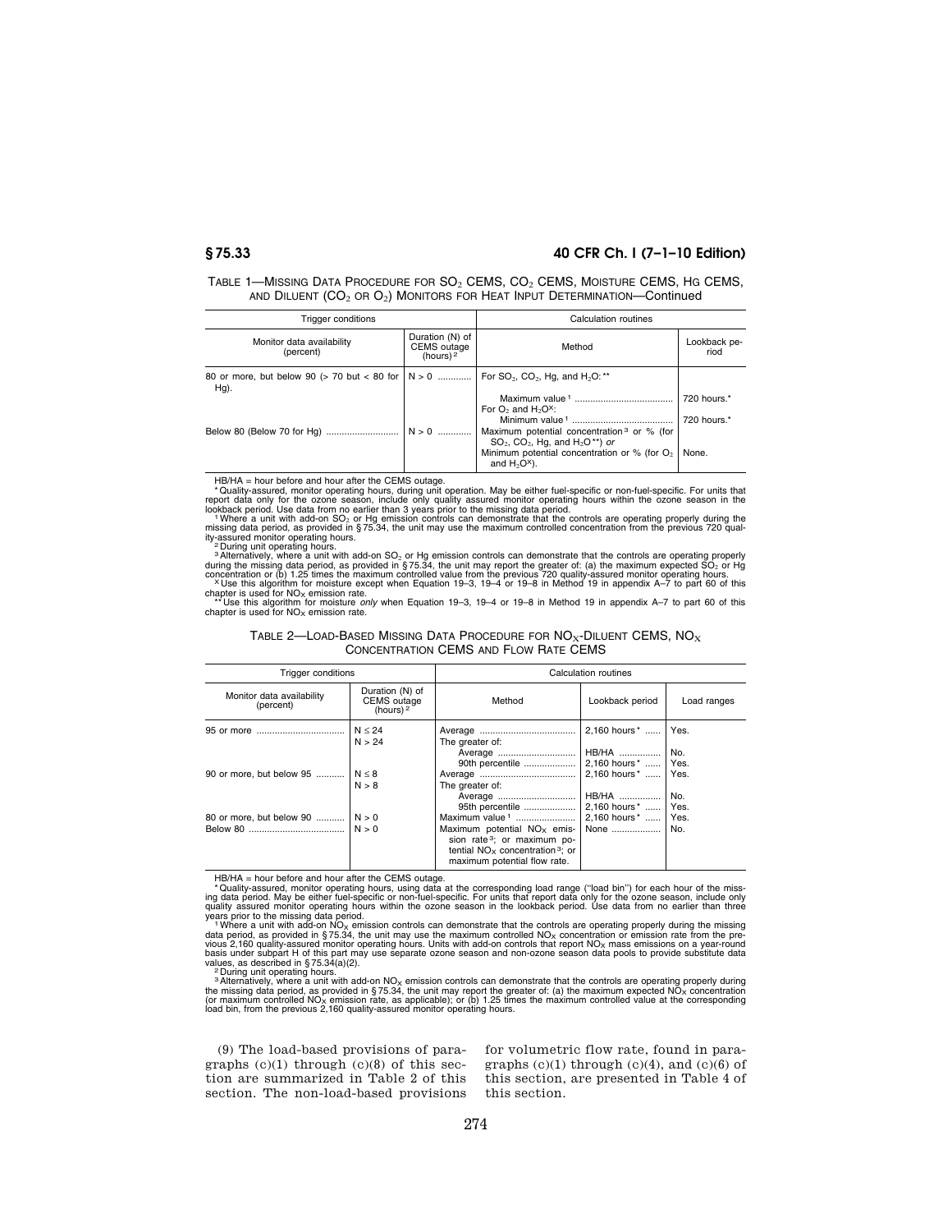# **§ 75.33 40 CFR Ch. I (7–1–10 Edition)**

| TABLE 1—MISSING DATA PROCEDURE FOR $SO_2$ CEMS, $CO_2$ CEMS, MOISTURE CEMS, HG CEMS, |
|--------------------------------------------------------------------------------------|
| AND DILUENT ( $CO_2$ OR $O_2$ ) MONITORS FOR HEAT INPUT DETERMINATION—Continued      |

| Trigger conditions                                               |                                                      | Calculation routines                                                                                                    |                      |  |
|------------------------------------------------------------------|------------------------------------------------------|-------------------------------------------------------------------------------------------------------------------------|----------------------|--|
| Monitor data availability<br>(percent)                           | Duration (N) of<br><b>CEMS</b> outage<br>(hours) $2$ | Method                                                                                                                  | Lookback pe-<br>riod |  |
| 80 or more, but below 90 (> 70 but < 80 for $  N > 0$<br>$Hg$ ). |                                                      | For $SO_2$ , $CO_2$ , Hg, and H <sub>2</sub> O: **                                                                      |                      |  |
|                                                                  |                                                      | For $O_2$ and $H_2O_2^x$ :                                                                                              | 720 hours.*          |  |
|                                                                  | $N > 0$                                              | Maximum potential concentration <sup>3</sup> or % (for<br>$SO_2$ , $CO_2$ , Hg, and H <sub>2</sub> O <sup>**</sup> ) or | 720 hours.*          |  |
|                                                                  |                                                      | Minimum potential concentration or % (for $O2$ )<br>and $H_2O^x$ ).                                                     | None.                |  |

HB/HA = hour before and hour after the CEMS outage.<br>Than the computer of the computer of the computer of the computer of the computer of data only for the ozone season, include only quality assured monitor operating hours

chapter is used for NO<sub>X</sub> emission rate.<br>\*\*\*Use this algorithm for moisture *only* when Equation 19–3, 19–4 or 19–8 in Method 19 in appendix A–7 to part 60 of this<br>chapter is used for NO<sub>X</sub> emission rate.

| Table 2—Load-Based Missing Data Procedure for $\mathsf{NO}_{\mathsf{x}}\text{-}\mathsf{D}$ iluent CEMS, $\mathsf{NO}_{\mathsf{x}}$ |  |
|------------------------------------------------------------------------------------------------------------------------------------|--|
| CONCENTRATION CEMS AND FLOW RATE CEMS                                                                                              |  |

| <b>Trigger conditions</b>              |                                                      | Calculation routines                                                                                                                                                                                      |                                                               |             |  |
|----------------------------------------|------------------------------------------------------|-----------------------------------------------------------------------------------------------------------------------------------------------------------------------------------------------------------|---------------------------------------------------------------|-------------|--|
| Monitor data availability<br>(percent) | Duration (N) of<br><b>CEMS</b> outage<br>(hours) $2$ | Method                                                                                                                                                                                                    | Lookback period                                               | Load ranges |  |
| 95 or more                             | N < 24<br>N > 24                                     | The greater of:<br>Average                                                                                                                                                                                | 2.160 hours *    Yes.<br><b>HB/HA</b>                         | No.         |  |
| 90 or more, but below 95               | N < 8<br>N > 8                                       | 90th percentile<br>The greater of:<br>Average                                                                                                                                                             | 2.160 hours*    Yes.<br>2.160 hours *    Yes.<br><b>HB/HA</b> | No.         |  |
| 80 or more, but below 90               | N > 0<br>N > 0                                       | 95th percentile<br>Maximum value $1$<br>Maximum potential $NOx$ emis-<br>sion rate <sup>3</sup> ; or maximum po-<br>tential $NO_{\times}$ concentration <sup>3</sup> : or<br>maximum potential flow rate. | 2,160 hours*    Yes.<br>2,160 hours*    Yes.<br>None    No.   |             |  |

HB/HA = hour before and hour after the CEMS outage.<br>
"Quality-assured, monitor operating hours, using data at the corresponding load range ("load bin") for each hour of the miss-<br>
"Quality-assured monitor operating hours w

<sup>3</sup> Alternatively, where a unit with add-on NO<sub>X</sub> emission controls can demonstrate that the controls are operating properly during<br>the missing data period, as provided in §75.34, the unit may report the greater of: (a) t

(9) The load-based provisions of paragraphs  $(c)(1)$  through  $(c)(8)$  of this section are summarized in Table 2 of this section. The non-load-based provisions for volumetric flow rate, found in paragraphs  $(c)(1)$  through  $(c)(4)$ , and  $(c)(6)$  of this section, are presented in Table 4 of this section.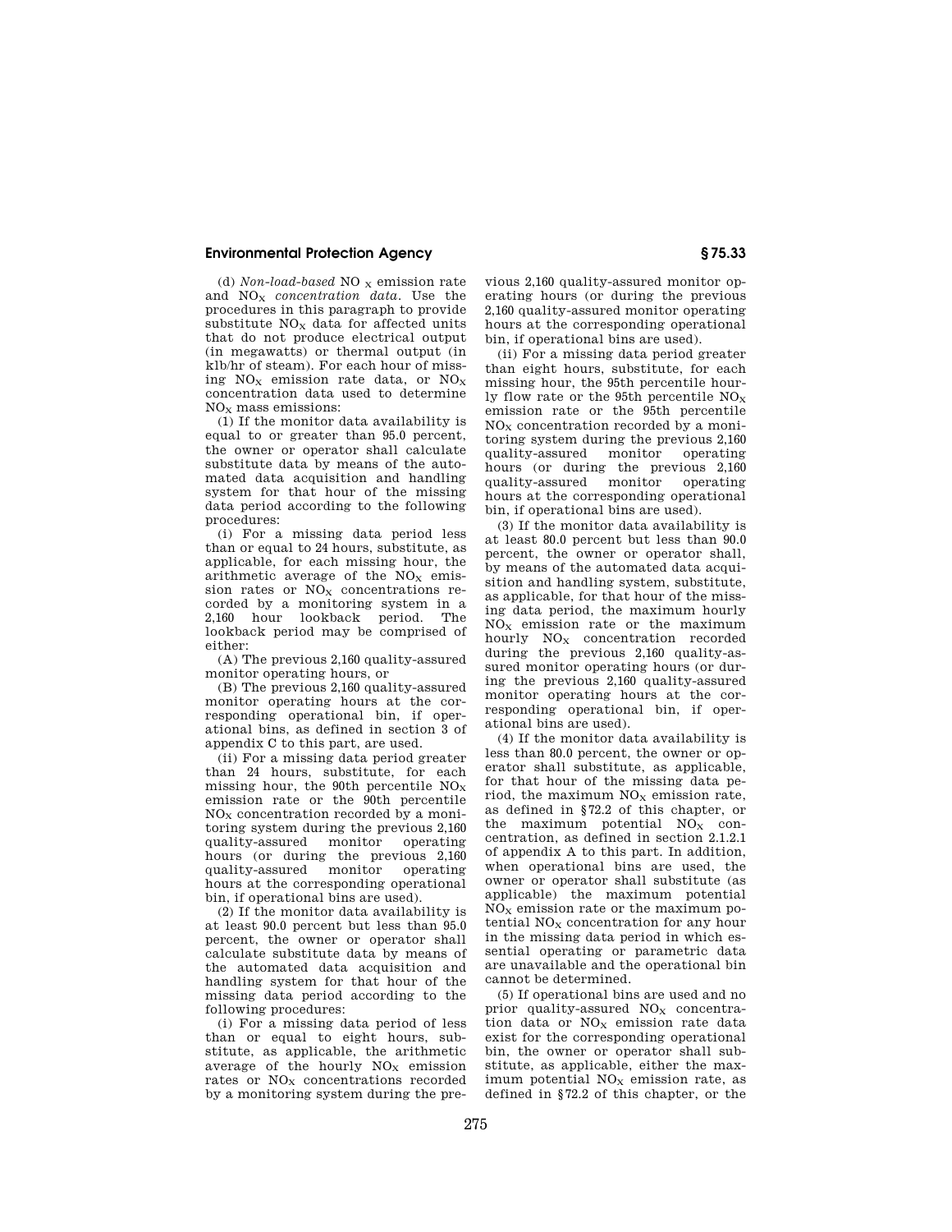(d)  $\emph{Non-local-based NO}_{\rm X}$  emission rate and NO<sup>X</sup> *concentration data.* Use the procedures in this paragraph to provide substitute  $NO<sub>x</sub>$  data for affected units that do not produce electrical output (in megawatts) or thermal output (in klb/hr of steam). For each hour of missing  $NO<sub>x</sub>$  emission rate data, or  $NO<sub>x</sub>$ concentration data used to determine NO<sup>X</sup> mass emissions:

(1) If the monitor data availability is equal to or greater than 95.0 percent, the owner or operator shall calculate substitute data by means of the automated data acquisition and handling system for that hour of the missing data period according to the following procedures:

(i) For a missing data period less than or equal to 24 hours, substitute, as applicable, for each missing hour, the arithmetic average of the  $NO<sub>x</sub>$  emission rates or  $NO<sub>x</sub>$  concentrations recorded by a monitoring system in a 2,160 hour lookback period. The lookback period may be comprised of either:

(A) The previous 2,160 quality-assured monitor operating hours, or

(B) The previous 2,160 quality-assured monitor operating hours at the corresponding operational bin, if operational bins, as defined in section 3 of appendix C to this part, are used.

(ii) For a missing data period greater than 24 hours, substitute, for each missing hour, the 90th percentile  $NO<sub>x</sub>$ emission rate or the 90th percentile  $NO<sub>x</sub>$  concentration recorded by a monitoring system during the previous 2,160 quality-assured monitor operating hours (or during the previous 2,160 quality-assured monitor operating quality-assured monitor hours at the corresponding operational bin, if operational bins are used).

(2) If the monitor data availability is at least 90.0 percent but less than 95.0 percent, the owner or operator shall calculate substitute data by means of the automated data acquisition and handling system for that hour of the missing data period according to the following procedures:

(i) For a missing data period of less than or equal to eight hours, substitute, as applicable, the arithmetic average of the hourly  $NO<sub>X</sub>$  emission rates or  $NO<sub>x</sub>$  concentrations recorded by a monitoring system during the pre-

vious 2,160 quality-assured monitor operating hours (or during the previous 2,160 quality-assured monitor operating hours at the corresponding operational bin, if operational bins are used).

(ii) For a missing data period greater than eight hours, substitute, for each missing hour, the 95th percentile hourly flow rate or the 95th percentile  $NO<sub>x</sub>$ emission rate or the 95th percentile  $NO<sub>X</sub>$  concentration recorded by a monitoring system during the previous 2,160 quality-assured monitor operating hours (or during the previous 2,160 quality-assured monitor operating hours at the corresponding operational bin, if operational bins are used).

(3) If the monitor data availability is at least 80.0 percent but less than 90.0 percent, the owner or operator shall, by means of the automated data acquisition and handling system, substitute, as applicable, for that hour of the missing data period, the maximum hourly  $NO<sub>x</sub>$  emission rate or the maximum hourly  $NO_X$  concentration recorded during the previous 2,160 quality-assured monitor operating hours (or during the previous 2,160 quality-assured monitor operating hours at the corresponding operational bin, if operational bins are used).

(4) If the monitor data availability is less than 80.0 percent, the owner or operator shall substitute, as applicable, for that hour of the missing data period, the maximum  $NO<sub>x</sub>$  emission rate, as defined in §72.2 of this chapter, or the maximum potential  $NO<sub>X</sub>$  concentration, as defined in section 2.1.2.1 of appendix A to this part. In addition, when operational bins are used, the owner or operator shall substitute (as applicable) the maximum potential  $NO<sub>X</sub>$  emission rate or the maximum potential  $NO<sub>X</sub>$  concentration for any hour in the missing data period in which essential operating or parametric data are unavailable and the operational bin cannot be determined.

(5) If operational bins are used and no prior quality-assured  $NO<sub>X</sub>$  concentration data or  $NO<sub>x</sub>$  emission rate data exist for the corresponding operational bin, the owner or operator shall substitute, as applicable, either the maximum potential  $NO<sub>x</sub>$  emission rate, as defined in §72.2 of this chapter, or the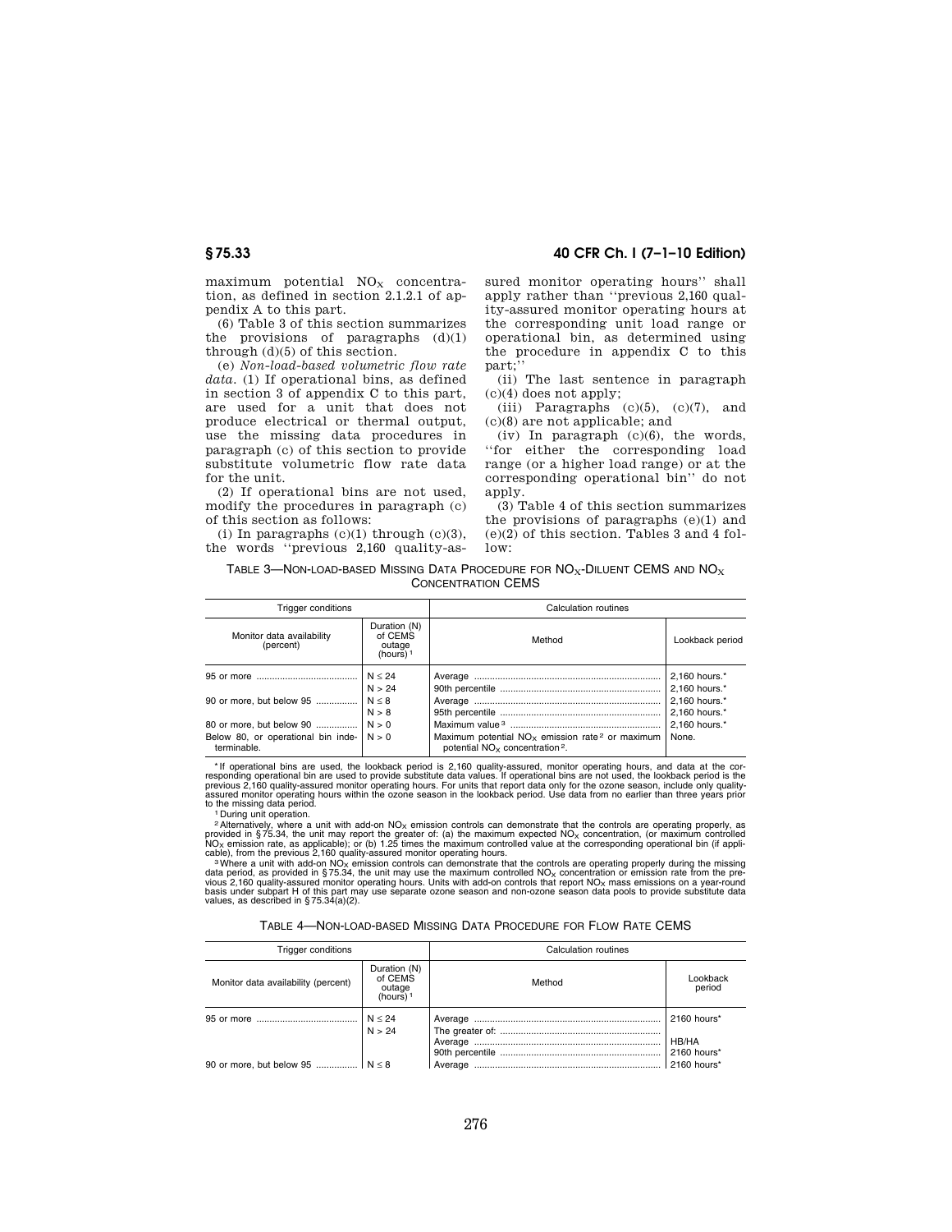maximum potential  $NO<sub>x</sub>$  concentration, as defined in section 2.1.2.1 of appendix A to this part.

(6) Table 3 of this section summarizes the provisions of paragraphs (d)(1) through (d)(5) of this section.

(e) *Non-load-based volumetric flow rate*  data. (1) If operational bins, as defined in section 3 of appendix C to this part, are used for a unit that does not produce electrical or thermal output, use the missing data procedures in paragraph (c) of this section to provide substitute volumetric flow rate data for the unit.

(2) If operational bins are not used, modify the procedures in paragraph (c) of this section as follows:

(i) In paragraphs  $(c)(1)$  through  $(c)(3)$ , the words ''previous 2,160 quality-as-

**§ 75.33 40 CFR Ch. I (7–1–10 Edition)** 

sured monitor operating hours'' shall apply rather than ''previous 2,160 quality-assured monitor operating hours at the corresponding unit load range or operational bin, as determined using the procedure in appendix C to this part;''

(ii) The last sentence in paragraph (c)(4) does not apply;

(iii) Paragraphs  $(c)(5)$ ,  $(c)(7)$ , and (c)(8) are not applicable; and

(iv) In paragraph (c)(6), the words, ''for either the corresponding load range (or a higher load range) or at the corresponding operational bin'' do not apply.

(3) Table 4 of this section summarizes the provisions of paragraphs (e)(1) and  $(e)(2)$  of this section. Tables 3 and 4 fol $low$ 

| TABLE 3—NON-LOAD-BASED MISSING DATA PROCEDURE FOR $NO_x$ -DILUENT CEMS AND $NO_x$ |
|-----------------------------------------------------------------------------------|
| <b>CONCENTRATION CEMS</b>                                                         |

| <b>Trigger conditions</b>                                   |                                                  | Calculation routines                                                                                                    |                                |  |
|-------------------------------------------------------------|--------------------------------------------------|-------------------------------------------------------------------------------------------------------------------------|--------------------------------|--|
| Monitor data availability<br>(percent)                      | Duration (N)<br>of CEMS<br>outage<br>(hours) $1$ | Method                                                                                                                  | Lookback period                |  |
|                                                             | N < 24<br>N > 24                                 |                                                                                                                         | 2,160 hours.*<br>2.160 hours.* |  |
| 90 or more, but below 95                                    | N < 8                                            |                                                                                                                         | 2.160 hours.*                  |  |
| 80 or more, but below 90                                    | N > 8<br>N > 0                                   |                                                                                                                         | 2.160 hours.*<br>2.160 hours.* |  |
| Below 80, or operational bin inde- $  N > 0$<br>terminable. |                                                  | Maximum potential $NOx$ emission rate <sup>2</sup> or maximum<br>potential NO <sub>x</sub> concentration <sup>2</sup> . | None.                          |  |

f operational bins are used, the lookback period is 2,160 quality-assured, monitor operating hours, and data at the corr \*<br>responding operational bin are used to provide substitute data values. If operational bins are not assured monitor operating hours within the ozone season in the lookback period. Use data from no earlier than three years prior<br>to the missing data period.<br>'' During unit operation.

Alternatively, where a unit with add-on NO<sub>X</sub> emission controls can demonstrate that the controls are operating properly, as<br>provided in §75.34, the unit may report the greater of: (a) the maximum expected NO<sub>X</sub> concentrat

cable), from the previous 2,160 quality-assured monitor operating hours.<br><sup>3</sup>Where a unit with add-on NO<sub>x</sub> emission controls can demonstrate that the controls are operating properly during the missing<br>data period, as prov

| TABLE 4—NON-LOAD-BASED MISSING DATA PROCEDURE FOR FLOW RATE CEMS |  |  |  |
|------------------------------------------------------------------|--|--|--|
|------------------------------------------------------------------|--|--|--|

| <b>Trigger conditions</b>             |                                                  | Calculation routines |                                     |  |
|---------------------------------------|--------------------------------------------------|----------------------|-------------------------------------|--|
| Monitor data availability (percent)   | Duration (N)<br>of CEMS<br>outage<br>(hours) $1$ | Method               | Lookback<br>period                  |  |
|                                       | N < 24<br>N > 24                                 |                      | 2160 hours*<br>HB/HA<br>2160 hours* |  |
| 90 or more, but below 95    $N \le 8$ |                                                  |                      | 2160 hours*                         |  |